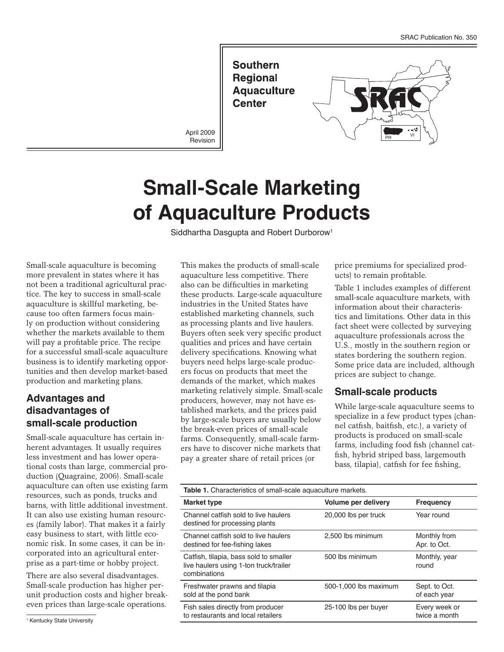**Southern Regional Aquaculture Center** 

April 2009 **Revision** 



# **Small-Scale Marketing of Aquaculture Products**

Siddhartha Dasgupta and Robert Durborow<sup>1</sup>

Small-scale aquaculture is becoming more prevalent in states where it has not been a traditional agricultural practice. The key to success in small-scale aquaculture is skillful marketing, because too often farmers focus mainly on production without considering whether the markets available to them will pay a profitable price. The recipe for a successful small-scale aquaculture business is to identify marketing opportunities and then develop market-based production and marketing plans.

## **Advantages and disadvantages of small-scale production**

Small-scale aquaculture has certain inherent advantages. It usually requires less investment and has lower operational costs than large, commercial production (Quagraine, 2006). Small-scale aquaculture can often use existing farm resources, such as ponds, trucks and barns, with little additional investment. It can also use existing human resources (family labor). That makes it a fairly easy business to start, with little economic risk. In some cases, it can be incorporated into an agricultural enterprise as a part-time or hobby project.

There are also several disadvantages. Small-scale production has higher perunit production costs and higher breakeven prices than large-scale operations.

<sup>1</sup> Kentucky State University

This makes the products of small-scale aquaculture less competitive. There also can be difficulties in marketing these products. Large-scale aquaculture industries in the United States have established marketing channels, such as processing plants and live haulers. Buyers often seek very specific product qualities and prices and have certain delivery specifications. Knowing what buyers need helps large-scale producers focus on products that meet the demands of the market, which makes marketing relatively simple. Small-scale producers, however, may not have established markets, and the prices paid by large-scale buyers are usually below the break-even prices of small-scale farms. Consequently, small-scale farmers have to discover niche markets that pay a greater share of retail prices (or

price premiums for specialized products) to remain profitable.

Table 1 includes examples of different small-scale aquaculture markets, with information about their characteristics and limitations. Other data in this fact sheet were collected by surveying aquaculture professionals across the U.S., mostly in the southern region or states bordering the southern region. Some price data are included, although prices are subject to change.

#### **Small-scale products**

While large-scale aquaculture seems to specialize in a few product types (channel catfish, baitfish, etc.), a variety of products is produced on small-scale farms, including food fish (channel catfish, hybrid striped bass, largemouth bass, tilapia), catfish for fee fishing,

| <b>Table 1.</b> Characteristics of small-scale aguaculture markets.                              |                       |                                |  |
|--------------------------------------------------------------------------------------------------|-----------------------|--------------------------------|--|
| <b>Market type</b>                                                                               | Volume per delivery   | <b>Frequency</b>               |  |
| Channel catfish sold to live haulers<br>destined for processing plants                           | 20,000 lbs per truck  | Year round                     |  |
| Channel catfish sold to live haulers<br>destined for fee-fishing lakes                           | 2,500 lbs minimum     | Monthly from<br>Apr. to Oct.   |  |
| Catfish, tilapia, bass sold to smaller<br>live haulers using 1-ton truck/trailer<br>combinations | 500 lbs minimum       | Monthly, year<br>round         |  |
| Freshwater prawns and tilapia<br>sold at the pond bank                                           | 500-1,000 lbs maximum | Sept. to Oct.<br>of each year  |  |
| Fish sales directly from producer<br>to restaurants and local retailers                          | 25-100 lbs per buyer  | Every week or<br>twice a month |  |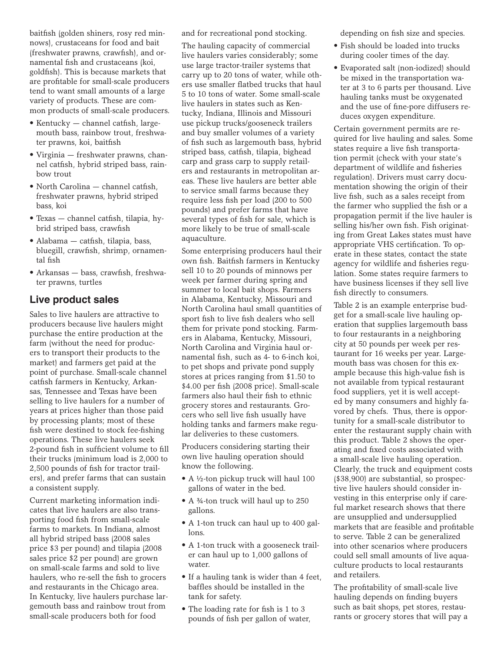baitfish (golden shiners, rosy red minnows), crustaceans for food and bait (freshwater prawns, crawfish), and ornamental fish and crustaceans (koi, goldfish). This is because markets that are profitable for small-scale producers tend to want small amounts of a large variety of products. These are common products of small-scale producers.

- Kentucky channel catfish, largemouth bass, rainbow trout, freshwater prawns, koi, baitfish
- • Virginia freshwater prawns, channel catfish, hybrid striped bass, rainbow trout
- North Carolina channel catfish, freshwater prawns, hybrid striped bass, koi
- • Texas channel catfish, tilapia, hybrid striped bass, crawfish
- Alabama catfish, tilapia, bass, bluegill, crawfish, shrimp, ornamental fish
- Arkansas bass, crawfish, freshwater prawns, turtles

#### **Live product sales**

Sales to live haulers are attractive to producers because live haulers might purchase the entire production at the farm (without the need for producers to transport their products to the market) and farmers get paid at the point of purchase. Small-scale channel catfish farmers in Kentucky, Arkansas, Tennessee and Texas have been selling to live haulers for a number of years at prices higher than those paid by processing plants; most of these fish were destined to stock fee-fishing operations. These live haulers seek 2-pound fish in sufficient volume to fill their trucks (minimum load is 2,000 to 2,500 pounds of fish for tractor trailers), and prefer farms that can sustain a consistent supply.

Current marketing information indicates that live haulers are also transporting food fish from small-scale farms to markets. In Indiana, almost all hybrid striped bass (2008 sales price \$3 per pound) and tilapia (2008 sales price \$2 per pound) are grown on small-scale farms and sold to live haulers, who re-sell the fish to grocers and restaurants in the Chicago area. In Kentucky, live haulers purchase largemouth bass and rainbow trout from small-scale producers both for food

and for recreational pond stocking.

The hauling capacity of commercial live haulers varies considerably; some use large tractor-trailer systems that carry up to 20 tons of water, while others use smaller flatbed trucks that haul 5 to 10 tons of water. Some small-scale live haulers in states such as Kentucky, Indiana, Illinois and Missouri use pickup trucks/gooseneck trailers and buy smaller volumes of a variety of fish such as largemouth bass, hybrid striped bass, catfish, tilapia, bighead carp and grass carp to supply retailers and restaurants in metropolitan areas. These live haulers are better able to service small farms because they require less fish per load (200 to 500 pounds) and prefer farms that have several types of fish for sale, which is more likely to be true of small-scale aquaculture.

Some enterprising producers haul their own fish. Baitfish farmers in Kentucky sell 10 to 20 pounds of minnows per week per farmer during spring and summer to local bait shops. Farmers in Alabama, Kentucky, Missouri and North Carolina haul small quantities of sport fish to live fish dealers who sell them for private pond stocking. Farmers in Alabama, Kentucky, Missouri, North Carolina and Virginia haul ornamental fish, such as 4- to 6-inch koi, to pet shops and private pond supply stores at prices ranging from \$1.50 to \$4.00 per fish (2008 price). Small-scale farmers also haul their fish to ethnic grocery stores and restaurants. Grocers who sell live fish usually have holding tanks and farmers make regular deliveries to these customers.

Producers considering starting their own live hauling operation should know the following.

- A ½-ton pickup truck will haul 100 gallons of water in the bed.
- A 3⁄4-ton truck will haul up to 250 gallons.
- A 1-ton truck can haul up to 400 gallons.
- A 1-ton truck with a gooseneck trailer can haul up to 1,000 gallons of water.
- If a hauling tank is wider than 4 feet, baffles should be installed in the tank for safety.
- The loading rate for fish is 1 to 3 pounds of fish per gallon of water,

depending on fish size and species.

- • Fish should be loaded into trucks during cooler times of the day.
- • Evaporated salt (non-iodized) should be mixed in the transportation water at 3 to 6 parts per thousand. Live hauling tanks must be oxygenated and the use of fine-pore diffusers reduces oxygen expenditure.

Certain government permits are required for live hauling and sales. Some states require a live fish transportation permit (check with your state's department of wildlife and fisheries regulation). Drivers must carry documentation showing the origin of their live fish, such as a sales receipt from the farmer who supplied the fish or a propagation permit if the live hauler is selling his/her own fish. Fish originating from Great Lakes states must have appropriate VHS certification. To operate in these states, contact the state agency for wildlife and fisheries regulation. Some states require farmers to have business licenses if they sell live fish directly to consumers.

Table 2 is an example enterprise budget for a small-scale live hauling operation that supplies largemouth bass to four restaurants in a neighboring city at 50 pounds per week per restaurant for 16 weeks per year. Largemouth bass was chosen for this example because this high-value fish is not available from typical restaurant food suppliers, yet it is well accepted by many consumers and highly favored by chefs. Thus, there is opportunity for a small-scale distributor to enter the restaurant supply chain with this product. Table 2 shows the operating and fixed costs associated with a small-scale live hauling operation. Clearly, the truck and equipment costs (\$38,900) are substantial, so prospective live haulers should consider investing in this enterprise only if careful market research shows that there are unsupplied and undersupplied markets that are feasible and profitable to serve. Table 2 can be generalized into other scenarios where producers could sell small amounts of live aquaculture products to local restaurants and retailers.

The profitability of small-scale live hauling depends on finding buyers such as bait shops, pet stores, restaurants or grocery stores that will pay a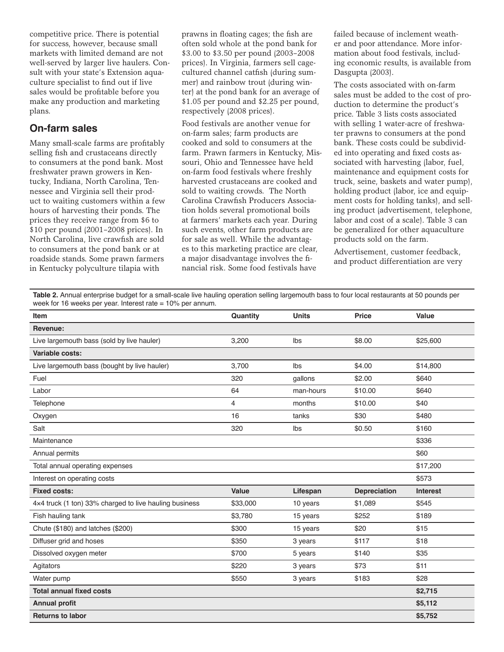competitive price. There is potential for success, however, because small markets with limited demand are not well-served by larger live haulers. Consult with your state's Extension aquaculture specialist to find out if live sales would be profitable before you make any production and marketing plans.

## **On-farm sales**

Many small-scale farms are profitably selling fish and crustaceans directly to consumers at the pond bank. Most freshwater prawn growers in Kentucky, Indiana, North Carolina, Tennessee and Virginia sell their product to waiting customers within a few hours of harvesting their ponds. The prices they receive range from \$6 to \$10 per pound (2001–2008 prices). In North Carolina, live crawfish are sold to consumers at the pond bank or at roadside stands. Some prawn farmers in Kentucky polyculture tilapia with

prawns in floating cages; the fish are often sold whole at the pond bank for \$3.00 to \$3.50 per pound (2003–2008 prices). In Virginia, farmers sell cagecultured channel catfish (during summer) and rainbow trout (during winter) at the pond bank for an average of \$1.05 per pound and \$2.25 per pound, respectively (2008 prices).

Food festivals are another venue for on-farm sales; farm products are cooked and sold to consumers at the farm. Prawn farmers in Kentucky, Missouri, Ohio and Tennessee have held on-farm food festivals where freshly harvested crustaceans are cooked and sold to waiting crowds. The North Carolina Crawfish Producers Association holds several promotional boils at farmers' markets each year. During such events, other farm products are for sale as well. While the advantages to this marketing practice are clear, a major disadvantage involves the financial risk. Some food festivals have

failed because of inclement weather and poor attendance. More information about food festivals, including economic results, is available from Dasgupta (2003).

The costs associated with on-farm sales must be added to the cost of production to determine the product's price. Table 3 lists costs associated with selling 1 water-acre of freshwater prawns to consumers at the pond bank. These costs could be subdivided into operating and fixed costs associated with harvesting (labor, fuel, maintenance and equipment costs for truck, seine, baskets and water pump), holding product (labor, ice and equipment costs for holding tanks), and selling product (advertisement, telephone, labor and cost of a scale). Table 3 can be generalized for other aquaculture products sold on the farm.

Advertisement, customer feedback, and product differentiation are very

**Table 2.** Annual enterprise budget for a small-scale live hauling operation selling largemouth bass to four local restaurants at 50 pounds per week for 16 weeks per year. Interest rate  $= 10\%$  per annum.

| <b>Item</b>                                            | Quantity     | <b>Units</b> | <b>Price</b>        | <b>Value</b>    |
|--------------------------------------------------------|--------------|--------------|---------------------|-----------------|
| Revenue:                                               |              |              |                     |                 |
| Live largemouth bass (sold by live hauler)             | 3,200        | Ibs          | \$8.00              | \$25,600        |
| Variable costs:                                        |              |              |                     |                 |
| Live largemouth bass (bought by live hauler)           | 3,700        | Ibs          | \$4.00              | \$14,800        |
| Fuel                                                   | 320          | gallons      | \$2.00              | \$640           |
| Labor                                                  | 64           | man-hours    | \$10.00             | \$640           |
| Telephone                                              | 4            | months       | \$10.00             | \$40            |
| Oxygen                                                 | 16           | tanks        | \$30                | \$480           |
| Salt                                                   | 320          | Ibs          | \$0.50              | \$160           |
| Maintenance                                            |              |              |                     | \$336           |
| Annual permits                                         |              |              |                     | \$60            |
| Total annual operating expenses                        |              |              |                     | \$17,200        |
| Interest on operating costs                            |              |              |                     | \$573           |
| <b>Fixed costs:</b>                                    | <b>Value</b> | Lifespan     | <b>Depreciation</b> | <b>Interest</b> |
| 4x4 truck (1 ton) 33% charged to live hauling business | \$33,000     | 10 years     | \$1,089             | \$545           |
| Fish hauling tank                                      | \$3,780      | 15 years     | \$252               | \$189           |
| Chute (\$180) and latches (\$200)                      | \$300        | 15 years     | \$20                | \$15            |
| Diffuser grid and hoses                                | \$350        | 3 years      | \$117               | \$18            |
| Dissolved oxygen meter                                 | \$700        | 5 years      | \$140               | \$35            |
| Agitators                                              | \$220        | 3 years      | \$73                | \$11            |
| Water pump                                             | \$550        | 3 years      | \$183               | \$28            |
| <b>Total annual fixed costs</b>                        |              |              |                     | \$2,715         |
| <b>Annual profit</b>                                   |              |              |                     | \$5,112         |
| <b>Returns to labor</b>                                |              |              |                     | \$5,752         |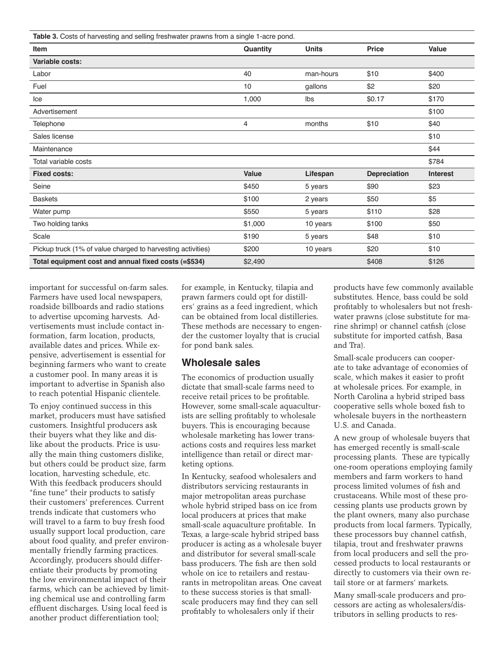| Table 3. Costs of harvesting and selling freshwater prawns from a single 1-acre pond. |          |              |                     |                 |
|---------------------------------------------------------------------------------------|----------|--------------|---------------------|-----------------|
| Item                                                                                  | Quantity | <b>Units</b> | <b>Price</b>        | Value           |
| Variable costs:                                                                       |          |              |                     |                 |
| Labor                                                                                 | 40       | man-hours    | \$10                | \$400           |
| Fuel                                                                                  | 10       | gallons      | \$2                 | \$20            |
| Ice                                                                                   | 1,000    | Ibs          | \$0.17              | \$170           |
| Advertisement                                                                         |          |              |                     | \$100           |
| Telephone                                                                             | 4        | months       | \$10                | \$40            |
| Sales license                                                                         |          |              |                     | \$10            |
| Maintenance                                                                           |          |              |                     | \$44            |
| Total variable costs                                                                  |          |              |                     | \$784           |
| <b>Fixed costs:</b>                                                                   | Value    | Lifespan     | <b>Depreciation</b> | <b>Interest</b> |
| Seine                                                                                 | \$450    | 5 years      | \$90                | \$23            |
| <b>Baskets</b>                                                                        | \$100    | 2 years      | \$50                | \$5             |
| Water pump                                                                            | \$550    | 5 years      | \$110               | \$28            |
| Two holding tanks                                                                     | \$1,000  | 10 years     | \$100               | \$50            |
| Scale                                                                                 | \$190    | 5 years      | \$48                | \$10            |
| Pickup truck (1% of value charged to harvesting activities)                           | \$200    | 10 years     | \$20                | \$10            |
| Total equipment cost and annual fixed costs (=\$534)                                  | \$2,490  |              | \$408               | \$126           |

important for successful on-farm sales. Farmers have used local newspapers, roadside billboards and radio stations to advertise upcoming harvests. Advertisements must include contact information, farm location, products, available dates and prices. While expensive, advertisement is essential for beginning farmers who want to create a customer pool. In many areas it is important to advertise in Spanish also to reach potential Hispanic clientele.

To enjoy continued success in this market, producers must have satisfied customers. Insightful producers ask their buyers what they like and dislike about the products. Price is usually the main thing customers dislike, but others could be product size, farm location, harvesting schedule, etc. With this feedback producers should "fine tune" their products to satisfy their customers' preferences. Current trends indicate that customers who will travel to a farm to buy fresh food usually support local production, care about food quality, and prefer environmentally friendly farming practices. Accordingly, producers should differentiate their products by promoting the low environmental impact of their farms, which can be achieved by limiting chemical use and controlling farm effluent discharges. Using local feed is another product differentiation tool;

for example, in Kentucky, tilapia and prawn farmers could opt for distillers' grains as a feed ingredient, which can be obtained from local distilleries. These methods are necessary to engender the customer loyalty that is crucial for pond bank sales.

#### **Wholesale sales**

The economics of production usually dictate that small-scale farms need to receive retail prices to be profitable. However, some small-scale aquaculturists are selling profitably to wholesale buyers. This is encouraging because wholesale marketing has lower transactions costs and requires less market intelligence than retail or direct marketing options.

In Kentucky, seafood wholesalers and distributors servicing restaurants in major metropolitan areas purchase whole hybrid striped bass on ice from local producers at prices that make small-scale aquaculture profitable. In Texas, a large-scale hybrid striped bass producer is acting as a wholesale buyer and distributor for several small-scale bass producers. The fish are then sold whole on ice to retailers and restaurants in metropolitan areas. One caveat to these success stories is that smallscale producers may find they can sell profitably to wholesalers only if their

products have few commonly available substitutes. Hence, bass could be sold profitably to wholesalers but not freshwater prawns (close substitute for marine shrimp) or channel catfish (close substitute for imported catfish, Basa and Tra).

Small-scale producers can cooperate to take advantage of economies of scale, which makes it easier to profit at wholesale prices. For example, in North Carolina a hybrid striped bass cooperative sells whole boxed fish to wholesale buyers in the northeastern U.S. and Canada.

A new group of wholesale buyers that has emerged recently is small-scale processing plants. These are typically one-room operations employing family members and farm workers to hand process limited volumes of fish and crustaceans. While most of these processing plants use products grown by the plant owners, many also purchase products from local farmers. Typically, these processors buy channel catfish, tilapia, trout and freshwater prawns from local producers and sell the processed products to local restaurants or directly to customers via their own retail store or at farmers' markets.

Many small-scale producers and processors are acting as wholesalers/distributors in selling products to res-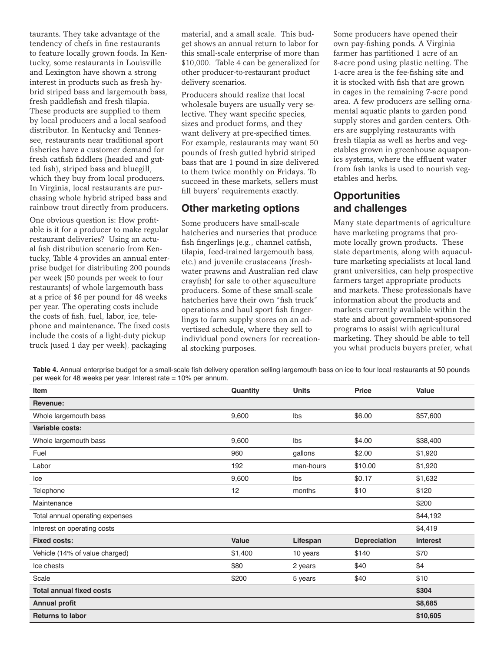taurants. They take advantage of the tendency of chefs in fine restaurants to feature locally grown foods. In Kentucky, some restaurants in Louisville and Lexington have shown a strong interest in products such as fresh hybrid striped bass and largemouth bass, fresh paddlefish and fresh tilapia. These products are supplied to them by local producers and a local seafood distributor. In Kentucky and Tennessee, restaurants near traditional sport fisheries have a customer demand for fresh catfish fiddlers (headed and gutted fish), striped bass and bluegill, which they buy from local producers. In Virginia, local restaurants are purchasing whole hybrid striped bass and rainbow trout directly from producers.

One obvious question is: How profitable is it for a producer to make regular restaurant deliveries? Using an actual fish distribution scenario from Kentucky, Table 4 provides an annual enterprise budget for distributing 200 pounds per week (50 pounds per week to four restaurants) of whole largemouth bass at a price of \$6 per pound for 48 weeks per year. The operating costs include the costs of fish, fuel, labor, ice, telephone and maintenance. The fixed costs include the costs of a light-duty pickup truck (used 1 day per week), packaging

material, and a small scale. This budget shows an annual return to labor for this small-scale enterprise of more than \$10,000. Table 4 can be generalized for other producer-to-restaurant product delivery scenarios.

Producers should realize that local wholesale buyers are usually very selective. They want specific species, sizes and product forms, and they want delivery at pre-specified times. For example, restaurants may want 50 pounds of fresh gutted hybrid striped bass that are 1 pound in size delivered to them twice monthly on Fridays. To succeed in these markets, sellers must fill buyers' requirements exactly.

#### **Other marketing options**

Some producers have small-scale hatcheries and nurseries that produce fish fingerlings (e.g., channel catfish, tilapia, feed-trained largemouth bass, etc.) and juvenile crustaceans (freshwater prawns and Australian red claw crayfish) for sale to other aquaculture producers. Some of these small-scale hatcheries have their own "fish truck" operations and haul sport fish fingerlings to farm supply stores on an advertised schedule, where they sell to individual pond owners for recreational stocking purposes.

Some producers have opened their own pay-fishing ponds. A Virginia farmer has partitioned 1 acre of an 8-acre pond using plastic netting. The 1-acre area is the fee-fishing site and it is stocked with fish that are grown in cages in the remaining 7-acre pond area. A few producers are selling ornamental aquatic plants to garden pond supply stores and garden centers. Others are supplying restaurants with fresh tilapia as well as herbs and vegetables grown in greenhouse aquaponics systems, where the effluent water from fish tanks is used to nourish vegetables and herbs.

## **Opportunities and challenges**

Many state departments of agriculture have marketing programs that promote locally grown products. These state departments, along with aquaculture marketing specialists at local land grant universities, can help prospective farmers target appropriate products and markets. These professionals have information about the products and markets currently available within the state and about government-sponsored programs to assist with agricultural marketing. They should be able to tell you what products buyers prefer, what

**Table 4.** Annual enterprise budget for a small-scale fish delivery operation selling largemouth bass on ice to four local restaurants at 50 pounds per upon the restaurants at 50 pounds per week for 48 weeks per year. Interest rate = 10% per annum.

| per week for 40 weeks per year. Interest rate $= 10\%$ per annum. |          |              |                     |                 |
|-------------------------------------------------------------------|----------|--------------|---------------------|-----------------|
| <b>Item</b>                                                       | Quantity | <b>Units</b> | <b>Price</b>        | <b>Value</b>    |
| Revenue:                                                          |          |              |                     |                 |
| Whole largemouth bass                                             | 9,600    | Ibs          | \$6.00              | \$57,600        |
| Variable costs:                                                   |          |              |                     |                 |
| Whole largemouth bass                                             | 9,600    | Ibs          | \$4.00              | \$38,400        |
| Fuel                                                              | 960      | gallons      | \$2.00              | \$1,920         |
| Labor                                                             | 192      | man-hours    | \$10.00             | \$1,920         |
| Ice                                                               | 9,600    | lbs          | \$0.17              | \$1,632         |
| Telephone                                                         | 12       | months       | \$10                | \$120           |
| Maintenance                                                       |          |              |                     | \$200           |
| Total annual operating expenses                                   |          |              |                     | \$44,192        |
| Interest on operating costs                                       |          |              |                     | \$4,419         |
| <b>Fixed costs:</b>                                               | Value    | Lifespan     | <b>Depreciation</b> | <b>Interest</b> |
| Vehicle (14% of value charged)                                    | \$1,400  | 10 years     | \$140               | \$70            |
| Ice chests                                                        | \$80     | 2 years      | \$40                | \$4             |
| Scale                                                             | \$200    | 5 years      | \$40                | \$10            |
| <b>Total annual fixed costs</b>                                   |          |              |                     | \$304           |
| <b>Annual profit</b>                                              |          |              |                     | \$8,685         |
| <b>Returns to labor</b>                                           |          |              |                     | \$10,605        |
|                                                                   |          |              |                     |                 |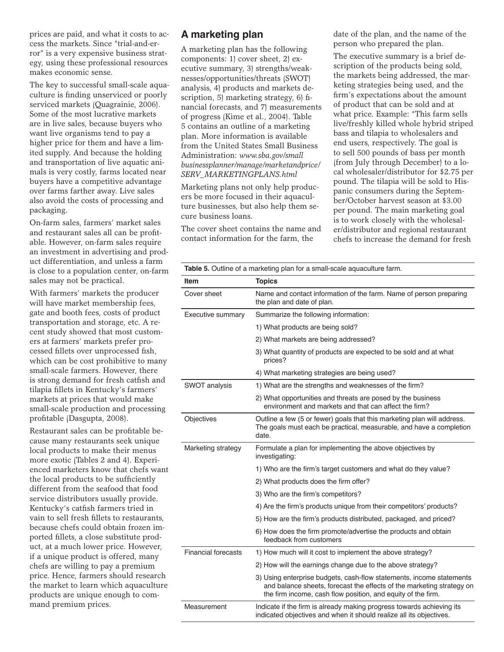prices are paid, and what it costs to access the markets. Since "trial-and-error" is a very expensive business strategy, using these professional resources makes economic sense.

The key to successful small-scale aquaculture is finding unserviced or poorly serviced markets (Quagrainie, 2006). Some of the most lucrative markets are in live sales, because buyers who want live organisms tend to pay a higher price for them and have a limited supply. And because the holding and transportation of live aquatic animals is very costly, farms located near buyers have a competitive advantage over farms farther away. Live sales also avoid the costs of processing and packaging.

On-farm sales, farmers' market sales and restaurant sales all can be profitable. However, on-farm sales require an investment in advertising and product differentiation, and unless a farm is close to a population center, on-farm sales may not be practical.

With farmers' markets the producer will have market membership fees, gate and booth fees, costs of product transportation and storage, etc. A recent study showed that most customers at farmers' markets prefer processed fillets over unprocessed fish, which can be cost prohibitive to many small-scale farmers. However, there is strong demand for fresh catfish and tilapia fillets in Kentucky's farmers' markets at prices that would make small-scale production and processing profitable (Dasgupta, 2008).

Restaurant sales can be profitable because many restaurants seek unique local products to make their menus more exotic (Tables 2 and 4). Experienced marketers know that chefs want the local products to be sufficiently different from the seafood that food service distributors usually provide. Kentucky's catfish farmers tried in vain to sell fresh fillets to restaurants, because chefs could obtain frozen imported fillets, a close substitute product, at a much lower price. However, if a unique product is offered, many chefs are willing to pay a premium price. Hence, farmers should research the market to learn which aquaculture products are unique enough to command premium prices.

#### **A marketing plan**

A marketing plan has the following components: 1) cover sheet, 2) executive summary, 3) strengths/weaknesses/opportunities/threats (SWOT) analysis, 4) products and markets description, 5) marketing strategy, 6) financial forecasts, and 7) measurements of progress (Kime et al., 2004). Table 5 contains an outline of a marketing plan. More information is available from the United States Small Business Administration: *www.sba.gov/small businessplanner/manage/marketandprice/ SERV\_MARKETINGPLANS.html*

Marketing plans not only help producers be more focused in their aquaculture businesses, but also help them secure business loans.

The cover sheet contains the name and contact information for the farm, the

date of the plan, and the name of the person who prepared the plan.

The executive summary is a brief description of the products being sold, the markets being addressed, the marketing strategies being used, and the firm's expectations about the amount of product that can be sold and at what price. Example: "This farm sells live/freshly killed whole hybrid striped bass and tilapia to wholesalers and end users, respectively. The goal is to sell 500 pounds of bass per month (from July through December) to a local wholesaler/distributor for \$2.75 per pound. The tilapia will be sold to Hispanic consumers during the September/October harvest season at \$3.00 per pound. The main marketing goal is to work closely with the wholesaler/distributor and regional restaurant chefs to increase the demand for fresh

| Table 5. Outline of a marketing plan for a small-scale aquaculture farm. |                                                                                                                                                                                                               |  |
|--------------------------------------------------------------------------|---------------------------------------------------------------------------------------------------------------------------------------------------------------------------------------------------------------|--|
| Item                                                                     | <b>Topics</b>                                                                                                                                                                                                 |  |
| Cover sheet                                                              | Name and contact information of the farm. Name of person preparing<br>the plan and date of plan.                                                                                                              |  |
| Executive summary                                                        | Summarize the following information:                                                                                                                                                                          |  |
|                                                                          | 1) What products are being sold?                                                                                                                                                                              |  |
|                                                                          | 2) What markets are being addressed?                                                                                                                                                                          |  |
|                                                                          | 3) What quantity of products are expected to be sold and at what<br>prices?                                                                                                                                   |  |
|                                                                          | 4) What marketing strategies are being used?                                                                                                                                                                  |  |
| <b>SWOT analysis</b>                                                     | 1) What are the strengths and weaknesses of the firm?                                                                                                                                                         |  |
|                                                                          | 2) What opportunities and threats are posed by the business<br>environment and markets and that can affect the firm?                                                                                          |  |
| Objectives                                                               | Outline a few (5 or fewer) goals that this marketing plan will address.<br>The goals must each be practical, measurable, and have a completion<br>date.                                                       |  |
| Marketing strategy                                                       | Formulate a plan for implementing the above objectives by<br>investigating:                                                                                                                                   |  |
|                                                                          | 1) Who are the firm's target customers and what do they value?                                                                                                                                                |  |
|                                                                          | 2) What products does the firm offer?                                                                                                                                                                         |  |
|                                                                          | 3) Who are the firm's competitors?                                                                                                                                                                            |  |
|                                                                          | 4) Are the firm's products unique from their competitors' products?                                                                                                                                           |  |
|                                                                          | 5) How are the firm's products distributed, packaged, and priced?                                                                                                                                             |  |
|                                                                          | 6) How does the firm promote/advertise the products and obtain<br>feedback from customers                                                                                                                     |  |
| <b>Financial forecasts</b>                                               | 1) How much will it cost to implement the above strategy?                                                                                                                                                     |  |
|                                                                          | 2) How will the earnings change due to the above strategy?                                                                                                                                                    |  |
|                                                                          | 3) Using enterprise budgets, cash-flow statements, income statements<br>and balance sheets, forecast the effects of the marketing strategy on<br>the firm income, cash flow position, and equity of the firm. |  |
| Measurement                                                              | Indicate if the firm is already making progress towards achieving its<br>indicated objectives and when it should realize all its objectives.                                                                  |  |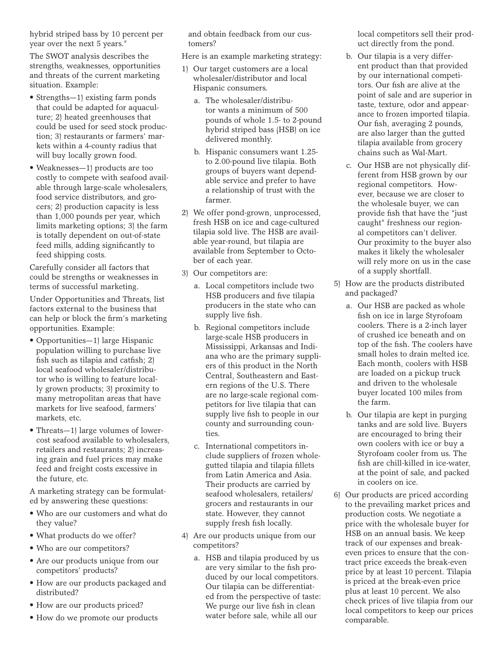hybrid striped bass by 10 percent per year over the next 5 years."

The SWOT analysis describes the strengths, weaknesses, opportunities and threats of the current marketing situation. Example:

- Strengths-1) existing farm ponds that could be adapted for aquaculture; 2) heated greenhouses that could be used for seed stock production; 3) restaurants or farmers' markets within a 4-county radius that will buy locally grown food.
- • Weaknesses—1) products are too costly to compete with seafood available through large-scale wholesalers, food service distributors, and grocers; 2) production capacity is less than 1,000 pounds per year, which limits marketing options; 3) the farm is totally dependent on out-of-state feed mills, adding significantly to feed shipping costs.

Carefully consider all factors that could be strengths or weaknesses in terms of successful marketing.

Under Opportunities and Threats, list factors external to the business that can help or block the firm's marketing opportunities. Example:

- Opportunities—1) large Hispanic population willing to purchase live fish such as tilapia and catfish; 2) local seafood wholesaler/distributor who is willing to feature locally grown products; 3) proximity to many metropolitan areas that have markets for live seafood, farmers' markets, etc.
- Threats—1) large volumes of lowercost seafood available to wholesalers, retailers and restaurants; 2) increasing grain and fuel prices may make feed and freight costs excessive in the future, etc.

A marketing strategy can be formulated by answering these questions:

- • Who are our customers and what do they value?
- What products do we offer?
- • Who are our competitors?
- Are our products unique from our competitors' products?
- • How are our products packaged and distributed?
- How are our products priced?
- • How do we promote our products

and obtain feedback from our customers?

Here is an example marketing strategy:

- 1) Our target customers are a local wholesaler/distributor and local Hispanic consumers.
	- a. The wholesaler/distributor wants a minimum of 500 pounds of whole 1.5- to 2-pound hybrid striped bass (HSB) on ice delivered monthly.
	- b. Hispanic consumers want 1.25to 2.00-pound live tilapia. Both groups of buyers want dependable service and prefer to have a relationship of trust with the farmer.
- 2) We offer pond-grown, unprocessed, fresh HSB on ice and cage-cultured tilapia sold live. The HSB are available year-round, but tilapia are available from September to October of each year.
- 3) Our competitors are:
	- a. Local competitors include two HSB producers and five tilapia producers in the state who can supply live fish.
	- b. Regional competitors include large-scale HSB producers in Mississippi, Arkansas and Indiana who are the primary suppliers of this product in the North Central, Southeastern and Eastern regions of the U.S. There are no large-scale regional competitors for live tilapia that can supply live fish to people in our county and surrounding counties.
	- c. International competitors include suppliers of frozen wholegutted tilapia and tilapia fillets from Latin America and Asia. Their products are carried by seafood wholesalers, retailers/ grocers and restaurants in our state. However, they cannot supply fresh fish locally.
- 4) Are our products unique from our competitors?
	- a. HSB and tilapia produced by us are very similar to the fish produced by our local competitors. Our tilapia can be differentiated from the perspective of taste: We purge our live fish in clean water before sale, while all our

local competitors sell their product directly from the pond.

- b. Our tilapia is a very different product than that provided by our international competitors. Our fish are alive at the point of sale and are superior in taste, texture, odor and appearance to frozen imported tilapia. Our fish, averaging 2 pounds, are also larger than the gutted tilapia available from grocery chains such as Wal-Mart.
- c. Our HSB are not physically different from HSB grown by our regional competitors. However, because we are closer to the wholesale buyer, we can provide fish that have the "just caught" freshness our regional competitors can't deliver. Our proximity to the buyer also makes it likely the wholesaler will rely more on us in the case of a supply shortfall.
- 5) How are the products distributed and packaged?
	- a. Our HSB are packed as whole fish on ice in large Styrofoam coolers. There is a 2-inch layer of crushed ice beneath and on top of the fish. The coolers have small holes to drain melted ice. Each month, coolers with HSB are loaded on a pickup truck and driven to the wholesale buyer located 100 miles from the farm.
	- b. Our tilapia are kept in purging tanks and are sold live. Buyers are encouraged to bring their own coolers with ice or buy a Styrofoam cooler from us. The fish are chill-killed in ice-water, at the point of sale, and packed in coolers on ice.
- 6) Our products are priced according to the prevailing market prices and production costs. We negotiate a price with the wholesale buyer for HSB on an annual basis. We keep track of our expenses and breakeven prices to ensure that the contract price exceeds the break-even price by at least 10 percent. Tilapia is priced at the break-even price plus at least 10 percent. We also check prices of live tilapia from our local competitors to keep our prices comparable.